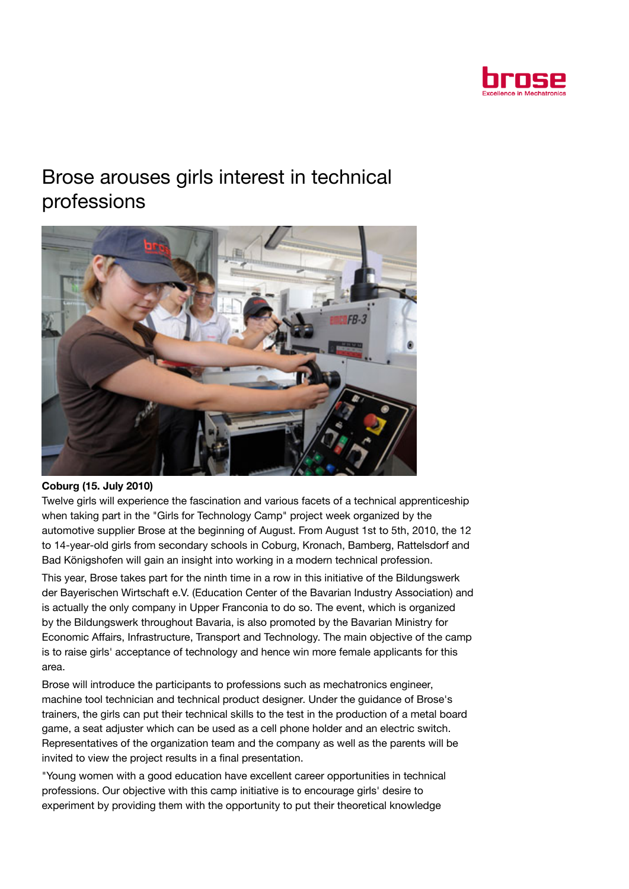

## Brose arouses girls interest in technical professions



## Coburg (15. July 2010)

Twelve girls will experience the fascination and various facets of a technical apprenticeship when taking part in the "Girls for Technology Camp" project week organized by the automotive supplier Brose at the beginning of August. From August 1st to 5th, 2010, the 12 to 14-year-old girls from secondary schools in Coburg, Kronach, Bamberg, Rattelsdorf and Bad Königshofen will gain an insight into working in a modern technical profession.

This year, Brose takes part for the ninth time in a row in this initiative of the Bildungswerk der Bayerischen Wirtschaft e.V. (Education Center of the Bavarian Industry Association) and is actually the only company in Upper Franconia to do so. The event, which is organized by the Bildungswerk throughout Bavaria, is also promoted by the Bavarian Ministry for Economic Affairs, Infrastructure, Transport and Technology. The main objective of the camp is to raise girls' acceptance of technology and hence win more female applicants for this area.

Brose will introduce the participants to professions such as mechatronics engineer, machine tool technician and technical product designer. Under the guidance of Brose's trainers, the girls can put their technical skills to the test in the production of a metal board game, a seat adjuster which can be used as a cell phone holder and an electric switch. Representatives of the organization team and the company as well as the parents will be invited to view the project results in a final presentation.

"Young women with a good education have excellent career opportunities in technical professions. Our objective with this camp initiative is to encourage girls' desire to experiment by providing them with the opportunity to put their theoretical knowledge